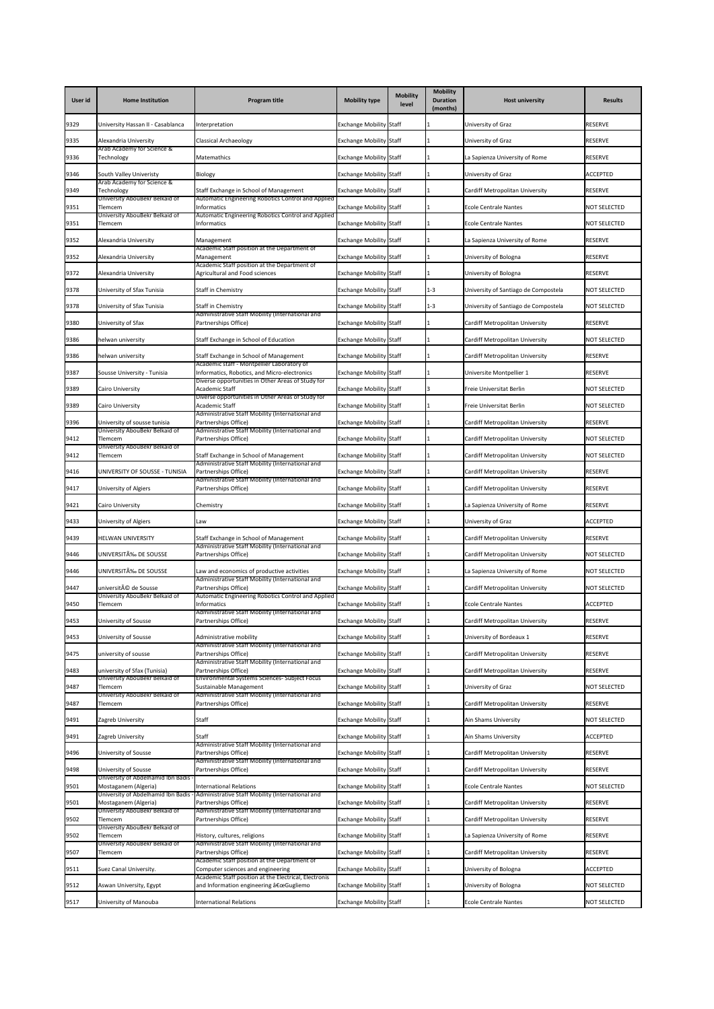| User id | <b>Home Institution</b>                                        | <b>Program title</b>                                                                                          | <b>Mobility type</b>           | <b>Mobility</b><br>level | <b>Mobility</b><br><b>Duration</b><br>(months) | <b>Host university</b>               | <b>Results</b>      |
|---------|----------------------------------------------------------------|---------------------------------------------------------------------------------------------------------------|--------------------------------|--------------------------|------------------------------------------------|--------------------------------------|---------------------|
| 9329    | University Hassan II - Casablanca                              | nterpretation                                                                                                 | <b>Exchange Mobility Staff</b> |                          |                                                | University of Graz                   | <b>RESERVE</b>      |
| 9335    | Alexandria University                                          | <b>Classical Archaeology</b>                                                                                  | <b>Exchange Mobility Staff</b> |                          |                                                | University of Graz                   | <b>RESERVE</b>      |
| 9336    | Arab Academy for Science &<br>Technology                       | <b>Matemathics</b>                                                                                            | <b>Exchange Mobility Staff</b> |                          |                                                | La Sapienza University of Rome       | <b>RESERVE</b>      |
| 9346    | South Valley Univeristy                                        | Biology                                                                                                       | <b>Exchange Mobility Staff</b> |                          |                                                | University of Graz                   | <b>ACCEPTED</b>     |
| 9349    | Arab Academy for Science &<br>Technology                       | Staff Exchange in School of Management                                                                        | <b>Exchange Mobility Staff</b> |                          |                                                | Cardiff Metropolitan University      | <b>RESERVE</b>      |
| 9351    | University AbouBekr Belkaid of<br>Tlemcem                      | Automatic Engineering Robotics Control and Applied<br>Informatics                                             | <b>Exchange Mobility Staff</b> |                          |                                                | <b>Ecole Centrale Nantes</b>         | <b>NOT SELECTED</b> |
| 9351    | University AbouBekr Belkaid of<br>Tlemcem                      | Automatic Engineering Robotics Control and Applied<br>Informatics                                             | <b>Exchange Mobility Staff</b> |                          |                                                | <b>Ecole Centrale Nantes</b>         | <b>NOT SELECTED</b> |
| 9352    | Alexandria University                                          | Management                                                                                                    | <b>Exchange Mobility Staff</b> |                          |                                                | La Sapienza University of Rome       | <b>RESERVE</b>      |
| 9352    | Alexandria University                                          | Academic Staff position at the Department of<br>Management                                                    | <b>Exchange Mobility Staff</b> |                          |                                                | University of Bologna                | <b>RESERVE</b>      |
| 9372    | Alexandria University                                          | Academic Staff position at the Department of<br>Agricultural and Food sciences                                | <b>Exchange Mobility Staff</b> |                          |                                                | University of Bologna                | <b>RESERVE</b>      |
| 9378    | University of Sfax Tunisia                                     | <b>Staff in Chemistry</b>                                                                                     | <b>Exchange Mobility Staff</b> |                          | $1 - 3$                                        | University of Santiago de Compostela | <b>NOT SELECTED</b> |
| 9378    | University of Sfax Tunisia                                     | <b>Staff in Chemistry</b>                                                                                     | <b>Exchange Mobility Staff</b> |                          | $1 - 3$                                        | University of Santiago de Compostela | <b>NOT SELECTED</b> |
| 9380    | University of Sfax                                             | Administrative Staff Mobility (International and<br>Partnerships Office)                                      | <b>Exchange Mobility Staff</b> |                          |                                                | Cardiff Metropolitan University      | <b>RESERVE</b>      |
| 9386    | helwan university                                              | Staff Exchange in School of Education                                                                         | <b>Exchange Mobility Staff</b> |                          |                                                | Cardiff Metropolitan University      | <b>NOT SELECTED</b> |
| 9386    | helwan university                                              | Staff Exchange in School of Management                                                                        | <b>Exchange Mobility Staff</b> |                          |                                                | Cardiff Metropolitan University      | <b>RESERVE</b>      |
| 9387    | Sousse University - Tunisia                                    | Academic staff - Montpellier Laboratory of<br>Informatics, Robotics, and Micro-electronics                    | <b>Exchange Mobility Staff</b> |                          |                                                | Universite Montpellier 1             | <b>RESERVE</b>      |
| 9389    |                                                                | Diverse opportunities in Other Areas of Study for<br><b>Academic Staff</b>                                    |                                |                          |                                                | Freie Universitat Berlin             | <b>NOT SELECTED</b> |
|         | Cairo University                                               | Diverse opportunities in Other Areas of Study for                                                             | <b>Exchange Mobility Staff</b> |                          |                                                |                                      |                     |
| 9389    | Cairo University                                               | <b>Academic Staff</b><br>Administrative Staff Mobility (International and                                     | <b>Exchange Mobility Staff</b> |                          |                                                | Freie Universitat Berlin             | <b>NOT SELECTED</b> |
| 9396    | University of sousse tunisia<br>University AbouBekr Belkaid of | Partnerships Office)<br>Administrative Staff Mobility (International and                                      | <b>Exchange Mobility Staff</b> |                          |                                                | Cardiff Metropolitan University      | <b>RESERVE</b>      |
| 9412    | Tlemcem<br>University AbouBekr Belkaid of                      | Partnerships Office)                                                                                          | <b>Exchange Mobility Staff</b> |                          |                                                | Cardiff Metropolitan University      | <b>NOT SELECTED</b> |
| 9412    | Tlemcem                                                        | Staff Exchange in School of Management<br>Administrative Staff Mobility (International and                    | <b>Exchange Mobility Staff</b> |                          |                                                | Cardiff Metropolitan University      | <b>NOT SELECTED</b> |
| 9416    | UNIVERSITY OF SOUSSE - TUNISIA                                 | Partnerships Office)<br>Administrative Staff Mobility (International and                                      | <b>Exchange Mobility Staff</b> |                          |                                                | Cardiff Metropolitan University      | <b>RESERVE</b>      |
| 9417    | University of Algiers                                          | Partnerships Office)                                                                                          | <b>Exchange Mobility Staff</b> |                          |                                                | Cardiff Metropolitan University      | <b>RESERVE</b>      |
| 9421    | Cairo University                                               | Chemistry                                                                                                     | <b>Exchange Mobility Staff</b> |                          |                                                | La Sapienza University of Rome       | <b>RESERVE</b>      |
| 9433    | University of Algiers                                          | Law                                                                                                           | <b>Exchange Mobility Staff</b> |                          |                                                | University of Graz                   | <b>ACCEPTED</b>     |
| 9439    | <b>HELWAN UNIVERSITY</b>                                       | Staff Exchange in School of Management<br>Administrative Staff Mobility (International and                    | <b>Exchange Mobility Staff</b> |                          |                                                | Cardiff Metropolitan University      | <b>RESERVE</b>      |
| 9446    | UNIVERSITÉ DE SOUSSE                                           | Partnerships Office)                                                                                          | <b>Exchange Mobility Staff</b> |                          |                                                | Cardiff Metropolitan University      | <b>NOT SELECTED</b> |
| 9446    | UNIVERSITÉ DE SOUSSE                                           | Law and economics of productive activities<br>Administrative Staff Mobility (International and                | <b>Exchange Mobility Staff</b> |                          |                                                | La Sapienza University of Rome       | <b>NOT SELECTED</b> |
| 9447    | université de Sousse<br>University AbouBekr Belkaid of         | Partnerships Office)<br>Automatic Engineering Robotics Control and Applied                                    | <b>Exchange Mobility Staff</b> |                          |                                                | Cardiff Metropolitan University      | <b>NOT SELECTED</b> |
| 9450    | Tlemcem                                                        | Informatics<br>Administrative Staff Mobility (International and                                               | <b>Exchange Mobility Staff</b> |                          |                                                | <b>Ecole Centrale Nantes</b>         | <b>ACCEPTED</b>     |
| 9453    | University of Sousse                                           | Partnerships Office)                                                                                          | <b>Exchange Mobility Staff</b> |                          |                                                | Cardiff Metropolitan University      | <b>RESERVE</b>      |
| 9453    | University of Sousse                                           | Administrative mobility<br>Administrative Staff Mobility (International and                                   | <b>Exchange Mobility Staff</b> |                          |                                                | University of Bordeaux 1             | <b>RESERVE</b>      |
| 9475    | university of sousse                                           | Partnerships Office)<br>Administrative Staff Mobility (International and                                      | <b>Exchange Mobility Staff</b> |                          |                                                | Cardiff Metropolitan University      | <b>RESERVE</b>      |
| 9483    | university of Sfax (Tunisia)<br>University AbouBekr Belkaid of | Partnerships Office)<br>Environmental Systems Sciences- Subject Focus                                         | <b>Exchange Mobility Staff</b> |                          |                                                | Cardiff Metropolitan University      | <b>RESERVE</b>      |
| 9487    | Tlemcem                                                        | Sustainable Management                                                                                        | <b>Exchange Mobility Staff</b> |                          |                                                | University of Graz                   | <b>NOT SELECTED</b> |
| 9487    | University AbouBekr Belkaid of<br>Tlemcem                      | Administrative Staff Mobility (International and<br>Partnerships Office)                                      | <b>Exchange Mobility Staff</b> |                          |                                                | Cardiff Metropolitan University      | <b>RESERVE</b>      |
| 9491    | Zagreb University                                              | <b>Staff</b>                                                                                                  | <b>Exchange Mobility Staff</b> |                          |                                                | Ain Shams University                 | <b>NOT SELECTED</b> |
| 9491    | Zagreb University                                              | <b>Staff</b>                                                                                                  | <b>Exchange Mobility Staff</b> |                          |                                                | Ain Shams University                 | <b>ACCEPTED</b>     |
| 9496    | University of Sousse                                           | Administrative Staff Mobility (International and<br>Partnerships Office)                                      | <b>Exchange Mobility Staff</b> |                          |                                                | Cardiff Metropolitan University      | <b>RESERVE</b>      |
| 9498    | University of Sousse                                           | Administrative Staff Mobility (International and<br>Partnerships Office)                                      | <b>Exchange Mobility Staff</b> |                          |                                                | Cardiff Metropolitan University      | <b>RESERVE</b>      |
| 9501    | University of Abdelhamid Ibn Badis -<br>Mostaganem (Algeria)   | <b>International Relations</b>                                                                                | <b>Exchange Mobility Staff</b> |                          |                                                | <b>Ecole Centrale Nantes</b>         | <b>NOT SELECTED</b> |
| 9501    | Mostaganem (Algeria)                                           | University of Abdelhamid Ibn Badis - Administrative Staff Mobility (International and<br>Partnerships Office) | <b>Exchange Mobility Staff</b> |                          |                                                | Cardiff Metropolitan University      | <b>RESERVE</b>      |
| 9502    | University AbouBekr Belkaid of<br>Tlemcem                      | Administrative Staff Mobility (International and<br>Partnerships Office)                                      | <b>Exchange Mobility Staff</b> |                          |                                                | Cardiff Metropolitan University      | <b>RESERVE</b>      |
| 9502    | University AbouBekr Belkaid of<br>Tlemcem                      | History, cultures, religions                                                                                  | <b>Exchange Mobility Staff</b> |                          |                                                | La Sapienza University of Rome       | <b>RESERVE</b>      |
| 9507    | University AbouBekr Belkaid of<br>Tlemcem                      | Administrative Staff Mobility (International and<br>Partnerships Office)                                      | <b>Exchange Mobility Staff</b> |                          |                                                | Cardiff Metropolitan University      | <b>RESERVE</b>      |
| 9511    | Suez Canal University.                                         | Academic Staff position at the Department of<br>Computer sciences and engineering                             | <b>Exchange Mobility Staff</b> |                          |                                                | University of Bologna                | <b>ACCEPTED</b>     |
| 9512    | Aswan University, Egypt                                        | Academic Staff position at the Electrical, Electronis<br>and Information engineering "Gugliemo                | <b>Exchange Mobility Staff</b> |                          |                                                | University of Bologna                | <b>NOT SELECTED</b> |
| 9517    | University of Manouba                                          | International Relations                                                                                       | <b>Exchange Mobility Staff</b> |                          |                                                | <b>Ecole Centrale Nantes</b>         | <b>NOT SELECTED</b> |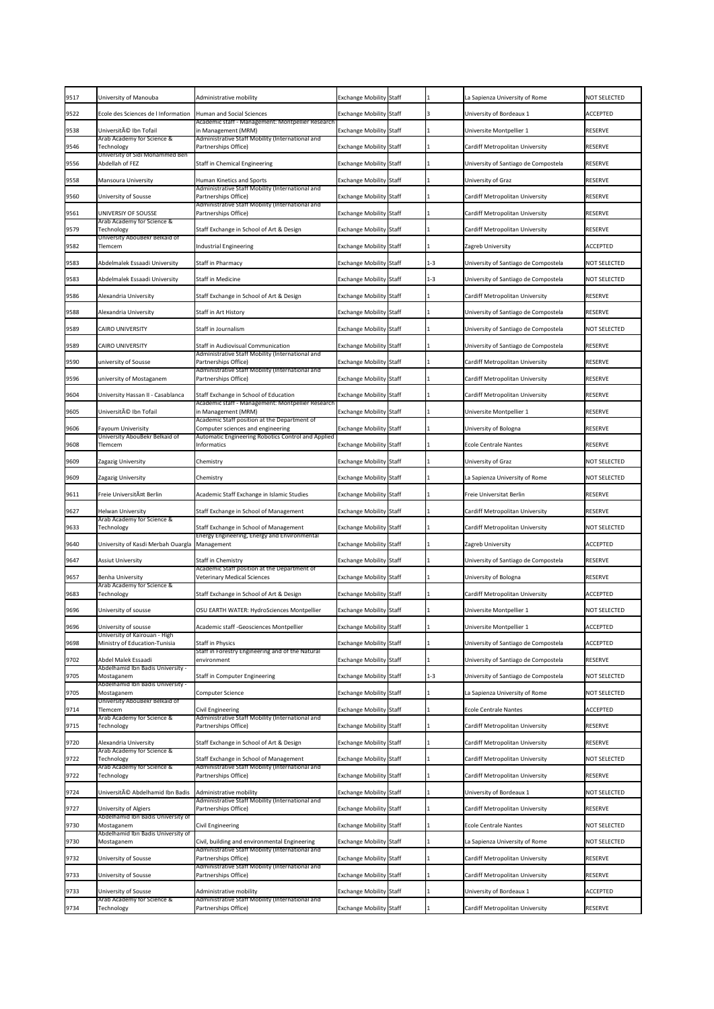| 9517<br>University of Manouba<br><b>Exchange Mobility Staff</b><br>La Sapienza University of Rome<br><b>NOT SELECTED</b><br>Administrative mobility<br>Ecole des Sciences de l Information<br><b>Human and Social Sciences</b><br>University of Bordeaux 1<br>9522<br><b>Exchange Mobility Staff</b><br><b>ACCEPTED</b><br>Academic staff - Management: Montpellier Research<br>Université Ibn Tofail<br>9538<br>in Management (MRM)<br><b>Exchange Mobility Staff</b><br>Universite Montpellier 1<br><b>RESERVE</b><br>Administrative Staff Mobility (International and<br>Arab Academy for Science &<br>Technology<br>Partnerships Office)<br><b>Exchange Mobility Staff</b><br>Cardiff Metropolitan University<br><b>RESERVE</b><br>9546<br>University of Sidi Mohammed Ben<br>Abdellah of FEZ<br>9556<br><b>Staff in Chemical Engineering</b><br><b>Exchange Mobility Staff</b><br>University of Santiago de Compostela<br><b>RESERVE</b><br>9558<br><b>Human Kinetics and Sports</b><br><b>Exchange Mobility Staff</b><br>University of Graz<br><b>Mansoura University</b><br><b>RESERVE</b><br>Administrative Staff Mobility (International and<br>9560<br><b>University of Sousse</b><br>Partnerships Office)<br><b>Exchange Mobility Staff</b><br>Cardiff Metropolitan University<br><b>RESERVE</b><br>Administrative Staff Mobility (International and<br>UNIVERSIY OF SOUSSE<br>Partnerships Office)<br>9561<br><b>Exchange Mobility Staff</b><br>Cardiff Metropolitan University<br><b>RESERVE</b><br>Arab Academy for Science &<br>9579<br>Staff Exchange in School of Art & Design<br><b>Exchange Mobility Staff</b><br>Cardiff Metropolitan University<br>Technology<br><b>RESERVE</b><br>University AbouBekr Belkaid of<br>9582<br>Industrial Engineering<br><b>Exchange Mobility Staff</b><br><b>ACCEPTED</b><br>Zagreb University<br>Tlemcem<br>9583<br>Abdelmalek Essaadi University<br><b>Exchange Mobility Staff</b><br>University of Santiago de Compostela<br><b>NOT SELECTED</b><br><b>Staff in Pharmacy</b><br>$1 - 3$<br>9583<br>Abdelmalek Essaadi University<br><b>Exchange Mobility Staff</b><br>University of Santiago de Compostela<br><b>Staff in Medicine</b><br>$1 - 3$<br><b>NOT SELECTED</b><br>9586<br>Staff Exchange in School of Art & Design<br><b>Exchange Mobility Staff</b><br>Cardiff Metropolitan University<br><b>RESERVE</b><br>Alexandria University<br>9588<br><b>Exchange Mobility Staff</b><br>University of Santiago de Compostela<br><b>RESERVE</b><br>Alexandria University<br>Staff in Art History<br>University of Santiago de Compostela<br>9589<br><b>CAIRO UNIVERSITY</b><br>Staff in Journalism<br><b>Exchange Mobility Staff</b><br><b>NOT SELECTED</b><br>9589<br><b>Exchange Mobility Staff</b><br><b>RESERVE</b><br><b>CAIRO UNIVERSITY</b><br><b>Staff in Audiovisual Communication</b><br>University of Santiago de Compostela<br>Administrative Staff Mobility (International and<br>Partnerships Office)<br>9590<br>university of Sousse<br><b>RESERVE</b><br><b>Exchange Mobility Staff</b><br>Cardiff Metropolitan University<br>Administrative Staff Mobility (International and<br>9596<br>university of Mostaganem<br>Partnerships Office)<br><b>Exchange Mobility Staff</b><br>Cardiff Metropolitan University<br><b>RESERVE</b><br>9604<br>University Hassan II - Casablanca<br>Staff Exchange in School of Education<br><b>Exchange Mobility Staff</b><br>Cardiff Metropolitan University<br><b>RESERVE</b><br>Academic staff - Management: Montpellier Research<br>Université Ibn Tofail<br>9605<br>in Management (MRM)<br><b>RESERVE</b><br><b>Exchange Mobility Staff</b><br>Universite Montpellier 1<br>Academic Staff position at the Department of<br>Computer sciences and engineering<br><b>Exchange Mobility Staff</b><br>University of Bologna<br>9606<br><b>Fayoum Univerisity</b><br><b>RESERVE</b><br>University AbouBekr Belkaid of<br>Automatic Engineering Robotics Control and Applied<br>9608<br><b>Exchange Mobility Staff</b><br>Informatics<br><b>Ecole Centrale Nantes</b><br><b>RESERVE</b><br>Tlemcem<br><b>Exchange Mobility Staff</b><br>University of Graz<br><b>NOT SELECTED</b><br>9609<br>Zagazig University<br>Chemistry<br>9609<br><b>Exchange Mobility Staff</b><br>La Sapienza University of Rome<br><b>NOT SELECTED</b><br>Zagazig University<br>Chemistry<br>Freie UniversitA¤t Berlin<br>9611<br>Academic Staff Exchange in Islamic Studies<br><b>Exchange Mobility Staff</b><br>Freie Universitat Berlin<br><b>RESERVE</b><br>9627<br><b>Helwan University</b><br>Staff Exchange in School of Management<br><b>Exchange Mobility Staff</b><br>Cardiff Metropolitan University<br><b>RESERVE</b><br>Arab Academy for Science &<br>9633<br>Staff Exchange in School of Management<br>Cardiff Metropolitan University<br><b>NOT SELECTED</b><br>Technology<br><b>Exchange Mobility Staff</b><br>Energy Engineering, Energy and Environmental<br>9640<br>University of Kasdi Merbah Ouargla<br><b>Exchange Mobility Staff</b><br>Zagreb University<br><b>ACCEPTED</b><br>Management<br>9647<br><b>Staff in Chemistry</b><br><b>Exchange Mobility Staff</b><br>University of Santiago de Compostela<br><b>RESERVE</b><br><b>Assiut University</b><br>Academic Staff position at the Department of<br>9657<br><b>Benha University</b><br><b>Veterinary Medical Sciences</b><br>University of Bologna<br><b>Exchange Mobility Staff</b><br><b>RESERVE</b><br>Arab Academy for Science &<br>Staff Exchange in School of Art & Design<br>9683<br><b>Exchange Mobility Staff</b><br>Cardiff Metropolitan University<br><b>ACCEPTED</b><br>Technology<br>9696<br><b>Exchange Mobility Staff</b><br>University of sousse<br>OSU EARTH WATER: HydroSciences Montpellier<br><b>NOT SELECTED</b><br>Universite Montpellier 1<br>9696<br>University of sousse<br><b>Exchange Mobility Staff</b><br><b>ACCEPTED</b><br>Academic staff - Geosciences Montpellier<br>Universite Montpellier 1<br>University of Kairouan - High<br>9698<br>Ministry of Education-Tunisia<br><b>Staff in Physics</b><br><b>Exchange Mobility Staff</b><br>University of Santiago de Compostela<br><b>ACCEPTED</b><br>Staff in Forestry Engineering and of the Natural<br>9702<br>Abdel Malek Essaadi<br>University of Santiago de Compostela<br><b>Exchange Mobility Staff</b><br><b>RESERVE</b><br>environment<br>Abdelhamid Ibn Badis University -<br>9705<br><b>Exchange Mobility Staff</b><br>University of Santiago de Compostela<br><b>NOT SELECTED</b><br><b>Staff in Computer Engineering</b><br>$1 - 3$<br>Mostaganem<br>- Abdelhamid Ibn Badis University<br>9705<br><b>Exchange Mobility Staff</b><br>La Sapienza University of Rome<br><b>NOT SELECTED</b><br>Mostaganem<br>Computer Science<br>University AbouBekr Belkaid of<br>9714<br><b>Exchange Mobility Staff</b><br><b>Civil Engineering</b><br><b>Ecole Centrale Nantes</b><br><b>ACCEPTED</b><br>Tlemcem<br>Arab Academy for Science &<br>Administrative Staff Mobility (International and |
|----------------------------------------------------------------------------------------------------------------------------------------------------------------------------------------------------------------------------------------------------------------------------------------------------------------------------------------------------------------------------------------------------------------------------------------------------------------------------------------------------------------------------------------------------------------------------------------------------------------------------------------------------------------------------------------------------------------------------------------------------------------------------------------------------------------------------------------------------------------------------------------------------------------------------------------------------------------------------------------------------------------------------------------------------------------------------------------------------------------------------------------------------------------------------------------------------------------------------------------------------------------------------------------------------------------------------------------------------------------------------------------------------------------------------------------------------------------------------------------------------------------------------------------------------------------------------------------------------------------------------------------------------------------------------------------------------------------------------------------------------------------------------------------------------------------------------------------------------------------------------------------------------------------------------------------------------------------------------------------------------------------------------------------------------------------------------------------------------------------------------------------------------------------------------------------------------------------------------------------------------------------------------------------------------------------------------------------------------------------------------------------------------------------------------------------------------------------------------------------------------------------------------------------------------------------------------------------------------------------------------------------------------------------------------------------------------------------------------------------------------------------------------------------------------------------------------------------------------------------------------------------------------------------------------------------------------------------------------------------------------------------------------------------------------------------------------------------------------------------------------------------------------------------------------------------------------------------------------------------------------------------------------------------------------------------------------------------------------------------------------------------------------------------------------------------------------------------------------------------------------------------------------------------------------------------------------------------------------------------------------------------------------------------------------------------------------------------------------------------------------------------------------------------------------------------------------------------------------------------------------------------------------------------------------------------------------------------------------------------------------------------------------------------------------------------------------------------------------------------------------------------------------------------------------------------------------------------------------------------------------------------------------------------------------------------------------------------------------------------------------------------------------------------------------------------------------------------------------------------------------------------------------------------------------------------------------------------------------------------------------------------------------------------------------------------------------------------------------------------------------------------------------------------------------------------------------------------------------------------------------------------------------------------------------------------------------------------------------------------------------------------------------------------------------------------------------------------------------------------------------------------------------------------------------------------------------------------------------------------------------------------------------------------------------------------------------------------------------------------------------------------------------------------------------------------------------------------------------------------------------------------------------------------------------------------------------------------------------------------------------------------------------------------------------------------------------------------------------------------------------------------------------------------------------------------------------------------------------------------------------------------------------------------------------------------------------------------------------------------------------------------------------------------------------------------------------------------------------------------------------------------------------------------------------------------------------------------------------------------------------------------------------------------------------------------------------------------------------------------------------------------------------------------------------------------------------------------------------------------------------------------------------------------------------------------------------------------------------------------------------------------------------------------------------------------------------------------------------------------------------------------------------------------------------------------------------------------------------------------------------------------------------------------------------------------------------------------------------------------------------------------------------------------------|
|                                                                                                                                                                                                                                                                                                                                                                                                                                                                                                                                                                                                                                                                                                                                                                                                                                                                                                                                                                                                                                                                                                                                                                                                                                                                                                                                                                                                                                                                                                                                                                                                                                                                                                                                                                                                                                                                                                                                                                                                                                                                                                                                                                                                                                                                                                                                                                                                                                                                                                                                                                                                                                                                                                                                                                                                                                                                                                                                                                                                                                                                                                                                                                                                                                                                                                                                                                                                                                                                                                                                                                                                                                                                                                                                                                                                                                                                                                                                                                                                                                                                                                                                                                                                                                                                                                                                                                                                                                                                                                                                                                                                                                                                                                                                                                                                                                                                                                                                                                                                                                                                                                                                                                                                                                                                                                                                                                                                                                                                                                                                                                                                                                                                                                                                                                                                                                                                                                                                                                                                                                                                                                                                                                                                                                                                                                                                                                                                                                                                                                                                                                                                                                                                                                                                                                                                                                                                                                                                                                                                                                              |
|                                                                                                                                                                                                                                                                                                                                                                                                                                                                                                                                                                                                                                                                                                                                                                                                                                                                                                                                                                                                                                                                                                                                                                                                                                                                                                                                                                                                                                                                                                                                                                                                                                                                                                                                                                                                                                                                                                                                                                                                                                                                                                                                                                                                                                                                                                                                                                                                                                                                                                                                                                                                                                                                                                                                                                                                                                                                                                                                                                                                                                                                                                                                                                                                                                                                                                                                                                                                                                                                                                                                                                                                                                                                                                                                                                                                                                                                                                                                                                                                                                                                                                                                                                                                                                                                                                                                                                                                                                                                                                                                                                                                                                                                                                                                                                                                                                                                                                                                                                                                                                                                                                                                                                                                                                                                                                                                                                                                                                                                                                                                                                                                                                                                                                                                                                                                                                                                                                                                                                                                                                                                                                                                                                                                                                                                                                                                                                                                                                                                                                                                                                                                                                                                                                                                                                                                                                                                                                                                                                                                                                              |
|                                                                                                                                                                                                                                                                                                                                                                                                                                                                                                                                                                                                                                                                                                                                                                                                                                                                                                                                                                                                                                                                                                                                                                                                                                                                                                                                                                                                                                                                                                                                                                                                                                                                                                                                                                                                                                                                                                                                                                                                                                                                                                                                                                                                                                                                                                                                                                                                                                                                                                                                                                                                                                                                                                                                                                                                                                                                                                                                                                                                                                                                                                                                                                                                                                                                                                                                                                                                                                                                                                                                                                                                                                                                                                                                                                                                                                                                                                                                                                                                                                                                                                                                                                                                                                                                                                                                                                                                                                                                                                                                                                                                                                                                                                                                                                                                                                                                                                                                                                                                                                                                                                                                                                                                                                                                                                                                                                                                                                                                                                                                                                                                                                                                                                                                                                                                                                                                                                                                                                                                                                                                                                                                                                                                                                                                                                                                                                                                                                                                                                                                                                                                                                                                                                                                                                                                                                                                                                                                                                                                                                              |
|                                                                                                                                                                                                                                                                                                                                                                                                                                                                                                                                                                                                                                                                                                                                                                                                                                                                                                                                                                                                                                                                                                                                                                                                                                                                                                                                                                                                                                                                                                                                                                                                                                                                                                                                                                                                                                                                                                                                                                                                                                                                                                                                                                                                                                                                                                                                                                                                                                                                                                                                                                                                                                                                                                                                                                                                                                                                                                                                                                                                                                                                                                                                                                                                                                                                                                                                                                                                                                                                                                                                                                                                                                                                                                                                                                                                                                                                                                                                                                                                                                                                                                                                                                                                                                                                                                                                                                                                                                                                                                                                                                                                                                                                                                                                                                                                                                                                                                                                                                                                                                                                                                                                                                                                                                                                                                                                                                                                                                                                                                                                                                                                                                                                                                                                                                                                                                                                                                                                                                                                                                                                                                                                                                                                                                                                                                                                                                                                                                                                                                                                                                                                                                                                                                                                                                                                                                                                                                                                                                                                                                              |
|                                                                                                                                                                                                                                                                                                                                                                                                                                                                                                                                                                                                                                                                                                                                                                                                                                                                                                                                                                                                                                                                                                                                                                                                                                                                                                                                                                                                                                                                                                                                                                                                                                                                                                                                                                                                                                                                                                                                                                                                                                                                                                                                                                                                                                                                                                                                                                                                                                                                                                                                                                                                                                                                                                                                                                                                                                                                                                                                                                                                                                                                                                                                                                                                                                                                                                                                                                                                                                                                                                                                                                                                                                                                                                                                                                                                                                                                                                                                                                                                                                                                                                                                                                                                                                                                                                                                                                                                                                                                                                                                                                                                                                                                                                                                                                                                                                                                                                                                                                                                                                                                                                                                                                                                                                                                                                                                                                                                                                                                                                                                                                                                                                                                                                                                                                                                                                                                                                                                                                                                                                                                                                                                                                                                                                                                                                                                                                                                                                                                                                                                                                                                                                                                                                                                                                                                                                                                                                                                                                                                                                              |
|                                                                                                                                                                                                                                                                                                                                                                                                                                                                                                                                                                                                                                                                                                                                                                                                                                                                                                                                                                                                                                                                                                                                                                                                                                                                                                                                                                                                                                                                                                                                                                                                                                                                                                                                                                                                                                                                                                                                                                                                                                                                                                                                                                                                                                                                                                                                                                                                                                                                                                                                                                                                                                                                                                                                                                                                                                                                                                                                                                                                                                                                                                                                                                                                                                                                                                                                                                                                                                                                                                                                                                                                                                                                                                                                                                                                                                                                                                                                                                                                                                                                                                                                                                                                                                                                                                                                                                                                                                                                                                                                                                                                                                                                                                                                                                                                                                                                                                                                                                                                                                                                                                                                                                                                                                                                                                                                                                                                                                                                                                                                                                                                                                                                                                                                                                                                                                                                                                                                                                                                                                                                                                                                                                                                                                                                                                                                                                                                                                                                                                                                                                                                                                                                                                                                                                                                                                                                                                                                                                                                                                              |
|                                                                                                                                                                                                                                                                                                                                                                                                                                                                                                                                                                                                                                                                                                                                                                                                                                                                                                                                                                                                                                                                                                                                                                                                                                                                                                                                                                                                                                                                                                                                                                                                                                                                                                                                                                                                                                                                                                                                                                                                                                                                                                                                                                                                                                                                                                                                                                                                                                                                                                                                                                                                                                                                                                                                                                                                                                                                                                                                                                                                                                                                                                                                                                                                                                                                                                                                                                                                                                                                                                                                                                                                                                                                                                                                                                                                                                                                                                                                                                                                                                                                                                                                                                                                                                                                                                                                                                                                                                                                                                                                                                                                                                                                                                                                                                                                                                                                                                                                                                                                                                                                                                                                                                                                                                                                                                                                                                                                                                                                                                                                                                                                                                                                                                                                                                                                                                                                                                                                                                                                                                                                                                                                                                                                                                                                                                                                                                                                                                                                                                                                                                                                                                                                                                                                                                                                                                                                                                                                                                                                                                              |
|                                                                                                                                                                                                                                                                                                                                                                                                                                                                                                                                                                                                                                                                                                                                                                                                                                                                                                                                                                                                                                                                                                                                                                                                                                                                                                                                                                                                                                                                                                                                                                                                                                                                                                                                                                                                                                                                                                                                                                                                                                                                                                                                                                                                                                                                                                                                                                                                                                                                                                                                                                                                                                                                                                                                                                                                                                                                                                                                                                                                                                                                                                                                                                                                                                                                                                                                                                                                                                                                                                                                                                                                                                                                                                                                                                                                                                                                                                                                                                                                                                                                                                                                                                                                                                                                                                                                                                                                                                                                                                                                                                                                                                                                                                                                                                                                                                                                                                                                                                                                                                                                                                                                                                                                                                                                                                                                                                                                                                                                                                                                                                                                                                                                                                                                                                                                                                                                                                                                                                                                                                                                                                                                                                                                                                                                                                                                                                                                                                                                                                                                                                                                                                                                                                                                                                                                                                                                                                                                                                                                                                              |
|                                                                                                                                                                                                                                                                                                                                                                                                                                                                                                                                                                                                                                                                                                                                                                                                                                                                                                                                                                                                                                                                                                                                                                                                                                                                                                                                                                                                                                                                                                                                                                                                                                                                                                                                                                                                                                                                                                                                                                                                                                                                                                                                                                                                                                                                                                                                                                                                                                                                                                                                                                                                                                                                                                                                                                                                                                                                                                                                                                                                                                                                                                                                                                                                                                                                                                                                                                                                                                                                                                                                                                                                                                                                                                                                                                                                                                                                                                                                                                                                                                                                                                                                                                                                                                                                                                                                                                                                                                                                                                                                                                                                                                                                                                                                                                                                                                                                                                                                                                                                                                                                                                                                                                                                                                                                                                                                                                                                                                                                                                                                                                                                                                                                                                                                                                                                                                                                                                                                                                                                                                                                                                                                                                                                                                                                                                                                                                                                                                                                                                                                                                                                                                                                                                                                                                                                                                                                                                                                                                                                                                              |
|                                                                                                                                                                                                                                                                                                                                                                                                                                                                                                                                                                                                                                                                                                                                                                                                                                                                                                                                                                                                                                                                                                                                                                                                                                                                                                                                                                                                                                                                                                                                                                                                                                                                                                                                                                                                                                                                                                                                                                                                                                                                                                                                                                                                                                                                                                                                                                                                                                                                                                                                                                                                                                                                                                                                                                                                                                                                                                                                                                                                                                                                                                                                                                                                                                                                                                                                                                                                                                                                                                                                                                                                                                                                                                                                                                                                                                                                                                                                                                                                                                                                                                                                                                                                                                                                                                                                                                                                                                                                                                                                                                                                                                                                                                                                                                                                                                                                                                                                                                                                                                                                                                                                                                                                                                                                                                                                                                                                                                                                                                                                                                                                                                                                                                                                                                                                                                                                                                                                                                                                                                                                                                                                                                                                                                                                                                                                                                                                                                                                                                                                                                                                                                                                                                                                                                                                                                                                                                                                                                                                                                              |
|                                                                                                                                                                                                                                                                                                                                                                                                                                                                                                                                                                                                                                                                                                                                                                                                                                                                                                                                                                                                                                                                                                                                                                                                                                                                                                                                                                                                                                                                                                                                                                                                                                                                                                                                                                                                                                                                                                                                                                                                                                                                                                                                                                                                                                                                                                                                                                                                                                                                                                                                                                                                                                                                                                                                                                                                                                                                                                                                                                                                                                                                                                                                                                                                                                                                                                                                                                                                                                                                                                                                                                                                                                                                                                                                                                                                                                                                                                                                                                                                                                                                                                                                                                                                                                                                                                                                                                                                                                                                                                                                                                                                                                                                                                                                                                                                                                                                                                                                                                                                                                                                                                                                                                                                                                                                                                                                                                                                                                                                                                                                                                                                                                                                                                                                                                                                                                                                                                                                                                                                                                                                                                                                                                                                                                                                                                                                                                                                                                                                                                                                                                                                                                                                                                                                                                                                                                                                                                                                                                                                                                              |
|                                                                                                                                                                                                                                                                                                                                                                                                                                                                                                                                                                                                                                                                                                                                                                                                                                                                                                                                                                                                                                                                                                                                                                                                                                                                                                                                                                                                                                                                                                                                                                                                                                                                                                                                                                                                                                                                                                                                                                                                                                                                                                                                                                                                                                                                                                                                                                                                                                                                                                                                                                                                                                                                                                                                                                                                                                                                                                                                                                                                                                                                                                                                                                                                                                                                                                                                                                                                                                                                                                                                                                                                                                                                                                                                                                                                                                                                                                                                                                                                                                                                                                                                                                                                                                                                                                                                                                                                                                                                                                                                                                                                                                                                                                                                                                                                                                                                                                                                                                                                                                                                                                                                                                                                                                                                                                                                                                                                                                                                                                                                                                                                                                                                                                                                                                                                                                                                                                                                                                                                                                                                                                                                                                                                                                                                                                                                                                                                                                                                                                                                                                                                                                                                                                                                                                                                                                                                                                                                                                                                                                              |
|                                                                                                                                                                                                                                                                                                                                                                                                                                                                                                                                                                                                                                                                                                                                                                                                                                                                                                                                                                                                                                                                                                                                                                                                                                                                                                                                                                                                                                                                                                                                                                                                                                                                                                                                                                                                                                                                                                                                                                                                                                                                                                                                                                                                                                                                                                                                                                                                                                                                                                                                                                                                                                                                                                                                                                                                                                                                                                                                                                                                                                                                                                                                                                                                                                                                                                                                                                                                                                                                                                                                                                                                                                                                                                                                                                                                                                                                                                                                                                                                                                                                                                                                                                                                                                                                                                                                                                                                                                                                                                                                                                                                                                                                                                                                                                                                                                                                                                                                                                                                                                                                                                                                                                                                                                                                                                                                                                                                                                                                                                                                                                                                                                                                                                                                                                                                                                                                                                                                                                                                                                                                                                                                                                                                                                                                                                                                                                                                                                                                                                                                                                                                                                                                                                                                                                                                                                                                                                                                                                                                                                              |
|                                                                                                                                                                                                                                                                                                                                                                                                                                                                                                                                                                                                                                                                                                                                                                                                                                                                                                                                                                                                                                                                                                                                                                                                                                                                                                                                                                                                                                                                                                                                                                                                                                                                                                                                                                                                                                                                                                                                                                                                                                                                                                                                                                                                                                                                                                                                                                                                                                                                                                                                                                                                                                                                                                                                                                                                                                                                                                                                                                                                                                                                                                                                                                                                                                                                                                                                                                                                                                                                                                                                                                                                                                                                                                                                                                                                                                                                                                                                                                                                                                                                                                                                                                                                                                                                                                                                                                                                                                                                                                                                                                                                                                                                                                                                                                                                                                                                                                                                                                                                                                                                                                                                                                                                                                                                                                                                                                                                                                                                                                                                                                                                                                                                                                                                                                                                                                                                                                                                                                                                                                                                                                                                                                                                                                                                                                                                                                                                                                                                                                                                                                                                                                                                                                                                                                                                                                                                                                                                                                                                                                              |
|                                                                                                                                                                                                                                                                                                                                                                                                                                                                                                                                                                                                                                                                                                                                                                                                                                                                                                                                                                                                                                                                                                                                                                                                                                                                                                                                                                                                                                                                                                                                                                                                                                                                                                                                                                                                                                                                                                                                                                                                                                                                                                                                                                                                                                                                                                                                                                                                                                                                                                                                                                                                                                                                                                                                                                                                                                                                                                                                                                                                                                                                                                                                                                                                                                                                                                                                                                                                                                                                                                                                                                                                                                                                                                                                                                                                                                                                                                                                                                                                                                                                                                                                                                                                                                                                                                                                                                                                                                                                                                                                                                                                                                                                                                                                                                                                                                                                                                                                                                                                                                                                                                                                                                                                                                                                                                                                                                                                                                                                                                                                                                                                                                                                                                                                                                                                                                                                                                                                                                                                                                                                                                                                                                                                                                                                                                                                                                                                                                                                                                                                                                                                                                                                                                                                                                                                                                                                                                                                                                                                                                              |
|                                                                                                                                                                                                                                                                                                                                                                                                                                                                                                                                                                                                                                                                                                                                                                                                                                                                                                                                                                                                                                                                                                                                                                                                                                                                                                                                                                                                                                                                                                                                                                                                                                                                                                                                                                                                                                                                                                                                                                                                                                                                                                                                                                                                                                                                                                                                                                                                                                                                                                                                                                                                                                                                                                                                                                                                                                                                                                                                                                                                                                                                                                                                                                                                                                                                                                                                                                                                                                                                                                                                                                                                                                                                                                                                                                                                                                                                                                                                                                                                                                                                                                                                                                                                                                                                                                                                                                                                                                                                                                                                                                                                                                                                                                                                                                                                                                                                                                                                                                                                                                                                                                                                                                                                                                                                                                                                                                                                                                                                                                                                                                                                                                                                                                                                                                                                                                                                                                                                                                                                                                                                                                                                                                                                                                                                                                                                                                                                                                                                                                                                                                                                                                                                                                                                                                                                                                                                                                                                                                                                                                              |
|                                                                                                                                                                                                                                                                                                                                                                                                                                                                                                                                                                                                                                                                                                                                                                                                                                                                                                                                                                                                                                                                                                                                                                                                                                                                                                                                                                                                                                                                                                                                                                                                                                                                                                                                                                                                                                                                                                                                                                                                                                                                                                                                                                                                                                                                                                                                                                                                                                                                                                                                                                                                                                                                                                                                                                                                                                                                                                                                                                                                                                                                                                                                                                                                                                                                                                                                                                                                                                                                                                                                                                                                                                                                                                                                                                                                                                                                                                                                                                                                                                                                                                                                                                                                                                                                                                                                                                                                                                                                                                                                                                                                                                                                                                                                                                                                                                                                                                                                                                                                                                                                                                                                                                                                                                                                                                                                                                                                                                                                                                                                                                                                                                                                                                                                                                                                                                                                                                                                                                                                                                                                                                                                                                                                                                                                                                                                                                                                                                                                                                                                                                                                                                                                                                                                                                                                                                                                                                                                                                                                                                              |
|                                                                                                                                                                                                                                                                                                                                                                                                                                                                                                                                                                                                                                                                                                                                                                                                                                                                                                                                                                                                                                                                                                                                                                                                                                                                                                                                                                                                                                                                                                                                                                                                                                                                                                                                                                                                                                                                                                                                                                                                                                                                                                                                                                                                                                                                                                                                                                                                                                                                                                                                                                                                                                                                                                                                                                                                                                                                                                                                                                                                                                                                                                                                                                                                                                                                                                                                                                                                                                                                                                                                                                                                                                                                                                                                                                                                                                                                                                                                                                                                                                                                                                                                                                                                                                                                                                                                                                                                                                                                                                                                                                                                                                                                                                                                                                                                                                                                                                                                                                                                                                                                                                                                                                                                                                                                                                                                                                                                                                                                                                                                                                                                                                                                                                                                                                                                                                                                                                                                                                                                                                                                                                                                                                                                                                                                                                                                                                                                                                                                                                                                                                                                                                                                                                                                                                                                                                                                                                                                                                                                                                              |
|                                                                                                                                                                                                                                                                                                                                                                                                                                                                                                                                                                                                                                                                                                                                                                                                                                                                                                                                                                                                                                                                                                                                                                                                                                                                                                                                                                                                                                                                                                                                                                                                                                                                                                                                                                                                                                                                                                                                                                                                                                                                                                                                                                                                                                                                                                                                                                                                                                                                                                                                                                                                                                                                                                                                                                                                                                                                                                                                                                                                                                                                                                                                                                                                                                                                                                                                                                                                                                                                                                                                                                                                                                                                                                                                                                                                                                                                                                                                                                                                                                                                                                                                                                                                                                                                                                                                                                                                                                                                                                                                                                                                                                                                                                                                                                                                                                                                                                                                                                                                                                                                                                                                                                                                                                                                                                                                                                                                                                                                                                                                                                                                                                                                                                                                                                                                                                                                                                                                                                                                                                                                                                                                                                                                                                                                                                                                                                                                                                                                                                                                                                                                                                                                                                                                                                                                                                                                                                                                                                                                                                              |
|                                                                                                                                                                                                                                                                                                                                                                                                                                                                                                                                                                                                                                                                                                                                                                                                                                                                                                                                                                                                                                                                                                                                                                                                                                                                                                                                                                                                                                                                                                                                                                                                                                                                                                                                                                                                                                                                                                                                                                                                                                                                                                                                                                                                                                                                                                                                                                                                                                                                                                                                                                                                                                                                                                                                                                                                                                                                                                                                                                                                                                                                                                                                                                                                                                                                                                                                                                                                                                                                                                                                                                                                                                                                                                                                                                                                                                                                                                                                                                                                                                                                                                                                                                                                                                                                                                                                                                                                                                                                                                                                                                                                                                                                                                                                                                                                                                                                                                                                                                                                                                                                                                                                                                                                                                                                                                                                                                                                                                                                                                                                                                                                                                                                                                                                                                                                                                                                                                                                                                                                                                                                                                                                                                                                                                                                                                                                                                                                                                                                                                                                                                                                                                                                                                                                                                                                                                                                                                                                                                                                                                              |
|                                                                                                                                                                                                                                                                                                                                                                                                                                                                                                                                                                                                                                                                                                                                                                                                                                                                                                                                                                                                                                                                                                                                                                                                                                                                                                                                                                                                                                                                                                                                                                                                                                                                                                                                                                                                                                                                                                                                                                                                                                                                                                                                                                                                                                                                                                                                                                                                                                                                                                                                                                                                                                                                                                                                                                                                                                                                                                                                                                                                                                                                                                                                                                                                                                                                                                                                                                                                                                                                                                                                                                                                                                                                                                                                                                                                                                                                                                                                                                                                                                                                                                                                                                                                                                                                                                                                                                                                                                                                                                                                                                                                                                                                                                                                                                                                                                                                                                                                                                                                                                                                                                                                                                                                                                                                                                                                                                                                                                                                                                                                                                                                                                                                                                                                                                                                                                                                                                                                                                                                                                                                                                                                                                                                                                                                                                                                                                                                                                                                                                                                                                                                                                                                                                                                                                                                                                                                                                                                                                                                                                              |
|                                                                                                                                                                                                                                                                                                                                                                                                                                                                                                                                                                                                                                                                                                                                                                                                                                                                                                                                                                                                                                                                                                                                                                                                                                                                                                                                                                                                                                                                                                                                                                                                                                                                                                                                                                                                                                                                                                                                                                                                                                                                                                                                                                                                                                                                                                                                                                                                                                                                                                                                                                                                                                                                                                                                                                                                                                                                                                                                                                                                                                                                                                                                                                                                                                                                                                                                                                                                                                                                                                                                                                                                                                                                                                                                                                                                                                                                                                                                                                                                                                                                                                                                                                                                                                                                                                                                                                                                                                                                                                                                                                                                                                                                                                                                                                                                                                                                                                                                                                                                                                                                                                                                                                                                                                                                                                                                                                                                                                                                                                                                                                                                                                                                                                                                                                                                                                                                                                                                                                                                                                                                                                                                                                                                                                                                                                                                                                                                                                                                                                                                                                                                                                                                                                                                                                                                                                                                                                                                                                                                                                              |
|                                                                                                                                                                                                                                                                                                                                                                                                                                                                                                                                                                                                                                                                                                                                                                                                                                                                                                                                                                                                                                                                                                                                                                                                                                                                                                                                                                                                                                                                                                                                                                                                                                                                                                                                                                                                                                                                                                                                                                                                                                                                                                                                                                                                                                                                                                                                                                                                                                                                                                                                                                                                                                                                                                                                                                                                                                                                                                                                                                                                                                                                                                                                                                                                                                                                                                                                                                                                                                                                                                                                                                                                                                                                                                                                                                                                                                                                                                                                                                                                                                                                                                                                                                                                                                                                                                                                                                                                                                                                                                                                                                                                                                                                                                                                                                                                                                                                                                                                                                                                                                                                                                                                                                                                                                                                                                                                                                                                                                                                                                                                                                                                                                                                                                                                                                                                                                                                                                                                                                                                                                                                                                                                                                                                                                                                                                                                                                                                                                                                                                                                                                                                                                                                                                                                                                                                                                                                                                                                                                                                                                              |
|                                                                                                                                                                                                                                                                                                                                                                                                                                                                                                                                                                                                                                                                                                                                                                                                                                                                                                                                                                                                                                                                                                                                                                                                                                                                                                                                                                                                                                                                                                                                                                                                                                                                                                                                                                                                                                                                                                                                                                                                                                                                                                                                                                                                                                                                                                                                                                                                                                                                                                                                                                                                                                                                                                                                                                                                                                                                                                                                                                                                                                                                                                                                                                                                                                                                                                                                                                                                                                                                                                                                                                                                                                                                                                                                                                                                                                                                                                                                                                                                                                                                                                                                                                                                                                                                                                                                                                                                                                                                                                                                                                                                                                                                                                                                                                                                                                                                                                                                                                                                                                                                                                                                                                                                                                                                                                                                                                                                                                                                                                                                                                                                                                                                                                                                                                                                                                                                                                                                                                                                                                                                                                                                                                                                                                                                                                                                                                                                                                                                                                                                                                                                                                                                                                                                                                                                                                                                                                                                                                                                                                              |
|                                                                                                                                                                                                                                                                                                                                                                                                                                                                                                                                                                                                                                                                                                                                                                                                                                                                                                                                                                                                                                                                                                                                                                                                                                                                                                                                                                                                                                                                                                                                                                                                                                                                                                                                                                                                                                                                                                                                                                                                                                                                                                                                                                                                                                                                                                                                                                                                                                                                                                                                                                                                                                                                                                                                                                                                                                                                                                                                                                                                                                                                                                                                                                                                                                                                                                                                                                                                                                                                                                                                                                                                                                                                                                                                                                                                                                                                                                                                                                                                                                                                                                                                                                                                                                                                                                                                                                                                                                                                                                                                                                                                                                                                                                                                                                                                                                                                                                                                                                                                                                                                                                                                                                                                                                                                                                                                                                                                                                                                                                                                                                                                                                                                                                                                                                                                                                                                                                                                                                                                                                                                                                                                                                                                                                                                                                                                                                                                                                                                                                                                                                                                                                                                                                                                                                                                                                                                                                                                                                                                                                              |
|                                                                                                                                                                                                                                                                                                                                                                                                                                                                                                                                                                                                                                                                                                                                                                                                                                                                                                                                                                                                                                                                                                                                                                                                                                                                                                                                                                                                                                                                                                                                                                                                                                                                                                                                                                                                                                                                                                                                                                                                                                                                                                                                                                                                                                                                                                                                                                                                                                                                                                                                                                                                                                                                                                                                                                                                                                                                                                                                                                                                                                                                                                                                                                                                                                                                                                                                                                                                                                                                                                                                                                                                                                                                                                                                                                                                                                                                                                                                                                                                                                                                                                                                                                                                                                                                                                                                                                                                                                                                                                                                                                                                                                                                                                                                                                                                                                                                                                                                                                                                                                                                                                                                                                                                                                                                                                                                                                                                                                                                                                                                                                                                                                                                                                                                                                                                                                                                                                                                                                                                                                                                                                                                                                                                                                                                                                                                                                                                                                                                                                                                                                                                                                                                                                                                                                                                                                                                                                                                                                                                                                              |
|                                                                                                                                                                                                                                                                                                                                                                                                                                                                                                                                                                                                                                                                                                                                                                                                                                                                                                                                                                                                                                                                                                                                                                                                                                                                                                                                                                                                                                                                                                                                                                                                                                                                                                                                                                                                                                                                                                                                                                                                                                                                                                                                                                                                                                                                                                                                                                                                                                                                                                                                                                                                                                                                                                                                                                                                                                                                                                                                                                                                                                                                                                                                                                                                                                                                                                                                                                                                                                                                                                                                                                                                                                                                                                                                                                                                                                                                                                                                                                                                                                                                                                                                                                                                                                                                                                                                                                                                                                                                                                                                                                                                                                                                                                                                                                                                                                                                                                                                                                                                                                                                                                                                                                                                                                                                                                                                                                                                                                                                                                                                                                                                                                                                                                                                                                                                                                                                                                                                                                                                                                                                                                                                                                                                                                                                                                                                                                                                                                                                                                                                                                                                                                                                                                                                                                                                                                                                                                                                                                                                                                              |
|                                                                                                                                                                                                                                                                                                                                                                                                                                                                                                                                                                                                                                                                                                                                                                                                                                                                                                                                                                                                                                                                                                                                                                                                                                                                                                                                                                                                                                                                                                                                                                                                                                                                                                                                                                                                                                                                                                                                                                                                                                                                                                                                                                                                                                                                                                                                                                                                                                                                                                                                                                                                                                                                                                                                                                                                                                                                                                                                                                                                                                                                                                                                                                                                                                                                                                                                                                                                                                                                                                                                                                                                                                                                                                                                                                                                                                                                                                                                                                                                                                                                                                                                                                                                                                                                                                                                                                                                                                                                                                                                                                                                                                                                                                                                                                                                                                                                                                                                                                                                                                                                                                                                                                                                                                                                                                                                                                                                                                                                                                                                                                                                                                                                                                                                                                                                                                                                                                                                                                                                                                                                                                                                                                                                                                                                                                                                                                                                                                                                                                                                                                                                                                                                                                                                                                                                                                                                                                                                                                                                                                              |
|                                                                                                                                                                                                                                                                                                                                                                                                                                                                                                                                                                                                                                                                                                                                                                                                                                                                                                                                                                                                                                                                                                                                                                                                                                                                                                                                                                                                                                                                                                                                                                                                                                                                                                                                                                                                                                                                                                                                                                                                                                                                                                                                                                                                                                                                                                                                                                                                                                                                                                                                                                                                                                                                                                                                                                                                                                                                                                                                                                                                                                                                                                                                                                                                                                                                                                                                                                                                                                                                                                                                                                                                                                                                                                                                                                                                                                                                                                                                                                                                                                                                                                                                                                                                                                                                                                                                                                                                                                                                                                                                                                                                                                                                                                                                                                                                                                                                                                                                                                                                                                                                                                                                                                                                                                                                                                                                                                                                                                                                                                                                                                                                                                                                                                                                                                                                                                                                                                                                                                                                                                                                                                                                                                                                                                                                                                                                                                                                                                                                                                                                                                                                                                                                                                                                                                                                                                                                                                                                                                                                                                              |
|                                                                                                                                                                                                                                                                                                                                                                                                                                                                                                                                                                                                                                                                                                                                                                                                                                                                                                                                                                                                                                                                                                                                                                                                                                                                                                                                                                                                                                                                                                                                                                                                                                                                                                                                                                                                                                                                                                                                                                                                                                                                                                                                                                                                                                                                                                                                                                                                                                                                                                                                                                                                                                                                                                                                                                                                                                                                                                                                                                                                                                                                                                                                                                                                                                                                                                                                                                                                                                                                                                                                                                                                                                                                                                                                                                                                                                                                                                                                                                                                                                                                                                                                                                                                                                                                                                                                                                                                                                                                                                                                                                                                                                                                                                                                                                                                                                                                                                                                                                                                                                                                                                                                                                                                                                                                                                                                                                                                                                                                                                                                                                                                                                                                                                                                                                                                                                                                                                                                                                                                                                                                                                                                                                                                                                                                                                                                                                                                                                                                                                                                                                                                                                                                                                                                                                                                                                                                                                                                                                                                                                              |
|                                                                                                                                                                                                                                                                                                                                                                                                                                                                                                                                                                                                                                                                                                                                                                                                                                                                                                                                                                                                                                                                                                                                                                                                                                                                                                                                                                                                                                                                                                                                                                                                                                                                                                                                                                                                                                                                                                                                                                                                                                                                                                                                                                                                                                                                                                                                                                                                                                                                                                                                                                                                                                                                                                                                                                                                                                                                                                                                                                                                                                                                                                                                                                                                                                                                                                                                                                                                                                                                                                                                                                                                                                                                                                                                                                                                                                                                                                                                                                                                                                                                                                                                                                                                                                                                                                                                                                                                                                                                                                                                                                                                                                                                                                                                                                                                                                                                                                                                                                                                                                                                                                                                                                                                                                                                                                                                                                                                                                                                                                                                                                                                                                                                                                                                                                                                                                                                                                                                                                                                                                                                                                                                                                                                                                                                                                                                                                                                                                                                                                                                                                                                                                                                                                                                                                                                                                                                                                                                                                                                                                              |
|                                                                                                                                                                                                                                                                                                                                                                                                                                                                                                                                                                                                                                                                                                                                                                                                                                                                                                                                                                                                                                                                                                                                                                                                                                                                                                                                                                                                                                                                                                                                                                                                                                                                                                                                                                                                                                                                                                                                                                                                                                                                                                                                                                                                                                                                                                                                                                                                                                                                                                                                                                                                                                                                                                                                                                                                                                                                                                                                                                                                                                                                                                                                                                                                                                                                                                                                                                                                                                                                                                                                                                                                                                                                                                                                                                                                                                                                                                                                                                                                                                                                                                                                                                                                                                                                                                                                                                                                                                                                                                                                                                                                                                                                                                                                                                                                                                                                                                                                                                                                                                                                                                                                                                                                                                                                                                                                                                                                                                                                                                                                                                                                                                                                                                                                                                                                                                                                                                                                                                                                                                                                                                                                                                                                                                                                                                                                                                                                                                                                                                                                                                                                                                                                                                                                                                                                                                                                                                                                                                                                                                              |
|                                                                                                                                                                                                                                                                                                                                                                                                                                                                                                                                                                                                                                                                                                                                                                                                                                                                                                                                                                                                                                                                                                                                                                                                                                                                                                                                                                                                                                                                                                                                                                                                                                                                                                                                                                                                                                                                                                                                                                                                                                                                                                                                                                                                                                                                                                                                                                                                                                                                                                                                                                                                                                                                                                                                                                                                                                                                                                                                                                                                                                                                                                                                                                                                                                                                                                                                                                                                                                                                                                                                                                                                                                                                                                                                                                                                                                                                                                                                                                                                                                                                                                                                                                                                                                                                                                                                                                                                                                                                                                                                                                                                                                                                                                                                                                                                                                                                                                                                                                                                                                                                                                                                                                                                                                                                                                                                                                                                                                                                                                                                                                                                                                                                                                                                                                                                                                                                                                                                                                                                                                                                                                                                                                                                                                                                                                                                                                                                                                                                                                                                                                                                                                                                                                                                                                                                                                                                                                                                                                                                                                              |
|                                                                                                                                                                                                                                                                                                                                                                                                                                                                                                                                                                                                                                                                                                                                                                                                                                                                                                                                                                                                                                                                                                                                                                                                                                                                                                                                                                                                                                                                                                                                                                                                                                                                                                                                                                                                                                                                                                                                                                                                                                                                                                                                                                                                                                                                                                                                                                                                                                                                                                                                                                                                                                                                                                                                                                                                                                                                                                                                                                                                                                                                                                                                                                                                                                                                                                                                                                                                                                                                                                                                                                                                                                                                                                                                                                                                                                                                                                                                                                                                                                                                                                                                                                                                                                                                                                                                                                                                                                                                                                                                                                                                                                                                                                                                                                                                                                                                                                                                                                                                                                                                                                                                                                                                                                                                                                                                                                                                                                                                                                                                                                                                                                                                                                                                                                                                                                                                                                                                                                                                                                                                                                                                                                                                                                                                                                                                                                                                                                                                                                                                                                                                                                                                                                                                                                                                                                                                                                                                                                                                                                              |
|                                                                                                                                                                                                                                                                                                                                                                                                                                                                                                                                                                                                                                                                                                                                                                                                                                                                                                                                                                                                                                                                                                                                                                                                                                                                                                                                                                                                                                                                                                                                                                                                                                                                                                                                                                                                                                                                                                                                                                                                                                                                                                                                                                                                                                                                                                                                                                                                                                                                                                                                                                                                                                                                                                                                                                                                                                                                                                                                                                                                                                                                                                                                                                                                                                                                                                                                                                                                                                                                                                                                                                                                                                                                                                                                                                                                                                                                                                                                                                                                                                                                                                                                                                                                                                                                                                                                                                                                                                                                                                                                                                                                                                                                                                                                                                                                                                                                                                                                                                                                                                                                                                                                                                                                                                                                                                                                                                                                                                                                                                                                                                                                                                                                                                                                                                                                                                                                                                                                                                                                                                                                                                                                                                                                                                                                                                                                                                                                                                                                                                                                                                                                                                                                                                                                                                                                                                                                                                                                                                                                                                              |
|                                                                                                                                                                                                                                                                                                                                                                                                                                                                                                                                                                                                                                                                                                                                                                                                                                                                                                                                                                                                                                                                                                                                                                                                                                                                                                                                                                                                                                                                                                                                                                                                                                                                                                                                                                                                                                                                                                                                                                                                                                                                                                                                                                                                                                                                                                                                                                                                                                                                                                                                                                                                                                                                                                                                                                                                                                                                                                                                                                                                                                                                                                                                                                                                                                                                                                                                                                                                                                                                                                                                                                                                                                                                                                                                                                                                                                                                                                                                                                                                                                                                                                                                                                                                                                                                                                                                                                                                                                                                                                                                                                                                                                                                                                                                                                                                                                                                                                                                                                                                                                                                                                                                                                                                                                                                                                                                                                                                                                                                                                                                                                                                                                                                                                                                                                                                                                                                                                                                                                                                                                                                                                                                                                                                                                                                                                                                                                                                                                                                                                                                                                                                                                                                                                                                                                                                                                                                                                                                                                                                                                              |
|                                                                                                                                                                                                                                                                                                                                                                                                                                                                                                                                                                                                                                                                                                                                                                                                                                                                                                                                                                                                                                                                                                                                                                                                                                                                                                                                                                                                                                                                                                                                                                                                                                                                                                                                                                                                                                                                                                                                                                                                                                                                                                                                                                                                                                                                                                                                                                                                                                                                                                                                                                                                                                                                                                                                                                                                                                                                                                                                                                                                                                                                                                                                                                                                                                                                                                                                                                                                                                                                                                                                                                                                                                                                                                                                                                                                                                                                                                                                                                                                                                                                                                                                                                                                                                                                                                                                                                                                                                                                                                                                                                                                                                                                                                                                                                                                                                                                                                                                                                                                                                                                                                                                                                                                                                                                                                                                                                                                                                                                                                                                                                                                                                                                                                                                                                                                                                                                                                                                                                                                                                                                                                                                                                                                                                                                                                                                                                                                                                                                                                                                                                                                                                                                                                                                                                                                                                                                                                                                                                                                                                              |
|                                                                                                                                                                                                                                                                                                                                                                                                                                                                                                                                                                                                                                                                                                                                                                                                                                                                                                                                                                                                                                                                                                                                                                                                                                                                                                                                                                                                                                                                                                                                                                                                                                                                                                                                                                                                                                                                                                                                                                                                                                                                                                                                                                                                                                                                                                                                                                                                                                                                                                                                                                                                                                                                                                                                                                                                                                                                                                                                                                                                                                                                                                                                                                                                                                                                                                                                                                                                                                                                                                                                                                                                                                                                                                                                                                                                                                                                                                                                                                                                                                                                                                                                                                                                                                                                                                                                                                                                                                                                                                                                                                                                                                                                                                                                                                                                                                                                                                                                                                                                                                                                                                                                                                                                                                                                                                                                                                                                                                                                                                                                                                                                                                                                                                                                                                                                                                                                                                                                                                                                                                                                                                                                                                                                                                                                                                                                                                                                                                                                                                                                                                                                                                                                                                                                                                                                                                                                                                                                                                                                                                              |
| 9715<br>Partnerships Office)<br><b>Exchange Mobility Staff</b><br>Cardiff Metropolitan University<br>Technology<br><b>RESERVE</b>                                                                                                                                                                                                                                                                                                                                                                                                                                                                                                                                                                                                                                                                                                                                                                                                                                                                                                                                                                                                                                                                                                                                                                                                                                                                                                                                                                                                                                                                                                                                                                                                                                                                                                                                                                                                                                                                                                                                                                                                                                                                                                                                                                                                                                                                                                                                                                                                                                                                                                                                                                                                                                                                                                                                                                                                                                                                                                                                                                                                                                                                                                                                                                                                                                                                                                                                                                                                                                                                                                                                                                                                                                                                                                                                                                                                                                                                                                                                                                                                                                                                                                                                                                                                                                                                                                                                                                                                                                                                                                                                                                                                                                                                                                                                                                                                                                                                                                                                                                                                                                                                                                                                                                                                                                                                                                                                                                                                                                                                                                                                                                                                                                                                                                                                                                                                                                                                                                                                                                                                                                                                                                                                                                                                                                                                                                                                                                                                                                                                                                                                                                                                                                                                                                                                                                                                                                                                                                            |
| Alexandria University<br>Staff Exchange in School of Art & Design<br>Cardiff Metropolitan University<br>9720<br><b>Exchange Mobility Staff</b><br><b>RESERVE</b>                                                                                                                                                                                                                                                                                                                                                                                                                                                                                                                                                                                                                                                                                                                                                                                                                                                                                                                                                                                                                                                                                                                                                                                                                                                                                                                                                                                                                                                                                                                                                                                                                                                                                                                                                                                                                                                                                                                                                                                                                                                                                                                                                                                                                                                                                                                                                                                                                                                                                                                                                                                                                                                                                                                                                                                                                                                                                                                                                                                                                                                                                                                                                                                                                                                                                                                                                                                                                                                                                                                                                                                                                                                                                                                                                                                                                                                                                                                                                                                                                                                                                                                                                                                                                                                                                                                                                                                                                                                                                                                                                                                                                                                                                                                                                                                                                                                                                                                                                                                                                                                                                                                                                                                                                                                                                                                                                                                                                                                                                                                                                                                                                                                                                                                                                                                                                                                                                                                                                                                                                                                                                                                                                                                                                                                                                                                                                                                                                                                                                                                                                                                                                                                                                                                                                                                                                                                                             |
| Arab Academy for Science &<br>9722<br>Staff Exchange in School of Management<br><b>Exchange Mobility Staff</b><br>Cardiff Metropolitan University<br><b>NOT SELECTED</b><br>Technology                                                                                                                                                                                                                                                                                                                                                                                                                                                                                                                                                                                                                                                                                                                                                                                                                                                                                                                                                                                                                                                                                                                                                                                                                                                                                                                                                                                                                                                                                                                                                                                                                                                                                                                                                                                                                                                                                                                                                                                                                                                                                                                                                                                                                                                                                                                                                                                                                                                                                                                                                                                                                                                                                                                                                                                                                                                                                                                                                                                                                                                                                                                                                                                                                                                                                                                                                                                                                                                                                                                                                                                                                                                                                                                                                                                                                                                                                                                                                                                                                                                                                                                                                                                                                                                                                                                                                                                                                                                                                                                                                                                                                                                                                                                                                                                                                                                                                                                                                                                                                                                                                                                                                                                                                                                                                                                                                                                                                                                                                                                                                                                                                                                                                                                                                                                                                                                                                                                                                                                                                                                                                                                                                                                                                                                                                                                                                                                                                                                                                                                                                                                                                                                                                                                                                                                                                                                       |
|                                                                                                                                                                                                                                                                                                                                                                                                                                                                                                                                                                                                                                                                                                                                                                                                                                                                                                                                                                                                                                                                                                                                                                                                                                                                                                                                                                                                                                                                                                                                                                                                                                                                                                                                                                                                                                                                                                                                                                                                                                                                                                                                                                                                                                                                                                                                                                                                                                                                                                                                                                                                                                                                                                                                                                                                                                                                                                                                                                                                                                                                                                                                                                                                                                                                                                                                                                                                                                                                                                                                                                                                                                                                                                                                                                                                                                                                                                                                                                                                                                                                                                                                                                                                                                                                                                                                                                                                                                                                                                                                                                                                                                                                                                                                                                                                                                                                                                                                                                                                                                                                                                                                                                                                                                                                                                                                                                                                                                                                                                                                                                                                                                                                                                                                                                                                                                                                                                                                                                                                                                                                                                                                                                                                                                                                                                                                                                                                                                                                                                                                                                                                                                                                                                                                                                                                                                                                                                                                                                                                                                              |
| Administrative Staff Mobility (International and<br>Arab Academy for Science &                                                                                                                                                                                                                                                                                                                                                                                                                                                                                                                                                                                                                                                                                                                                                                                                                                                                                                                                                                                                                                                                                                                                                                                                                                                                                                                                                                                                                                                                                                                                                                                                                                                                                                                                                                                                                                                                                                                                                                                                                                                                                                                                                                                                                                                                                                                                                                                                                                                                                                                                                                                                                                                                                                                                                                                                                                                                                                                                                                                                                                                                                                                                                                                                                                                                                                                                                                                                                                                                                                                                                                                                                                                                                                                                                                                                                                                                                                                                                                                                                                                                                                                                                                                                                                                                                                                                                                                                                                                                                                                                                                                                                                                                                                                                                                                                                                                                                                                                                                                                                                                                                                                                                                                                                                                                                                                                                                                                                                                                                                                                                                                                                                                                                                                                                                                                                                                                                                                                                                                                                                                                                                                                                                                                                                                                                                                                                                                                                                                                                                                                                                                                                                                                                                                                                                                                                                                                                                                                                               |
| 9722<br>Partnerships Office)<br><b>Exchange Mobility Staff</b><br>Cardiff Metropolitan University<br><b>RESERVE</b><br>Technology<br>Université Abdelhamid Ibn Badis<br>9724<br>Administrative mobility<br>University of Bordeaux 1<br><b>NOT SELECTED</b>                                                                                                                                                                                                                                                                                                                                                                                                                                                                                                                                                                                                                                                                                                                                                                                                                                                                                                                                                                                                                                                                                                                                                                                                                                                                                                                                                                                                                                                                                                                                                                                                                                                                                                                                                                                                                                                                                                                                                                                                                                                                                                                                                                                                                                                                                                                                                                                                                                                                                                                                                                                                                                                                                                                                                                                                                                                                                                                                                                                                                                                                                                                                                                                                                                                                                                                                                                                                                                                                                                                                                                                                                                                                                                                                                                                                                                                                                                                                                                                                                                                                                                                                                                                                                                                                                                                                                                                                                                                                                                                                                                                                                                                                                                                                                                                                                                                                                                                                                                                                                                                                                                                                                                                                                                                                                                                                                                                                                                                                                                                                                                                                                                                                                                                                                                                                                                                                                                                                                                                                                                                                                                                                                                                                                                                                                                                                                                                                                                                                                                                                                                                                                                                                                                                                                                                   |
| <b>Exchange Mobility Staff</b><br>Administrative Staff Mobility (International and<br>9727<br>University of Algiers<br>Partnerships Office)<br><b>Exchange Mobility Staff</b><br>Cardiff Metropolitan University<br><b>RESERVE</b>                                                                                                                                                                                                                                                                                                                                                                                                                                                                                                                                                                                                                                                                                                                                                                                                                                                                                                                                                                                                                                                                                                                                                                                                                                                                                                                                                                                                                                                                                                                                                                                                                                                                                                                                                                                                                                                                                                                                                                                                                                                                                                                                                                                                                                                                                                                                                                                                                                                                                                                                                                                                                                                                                                                                                                                                                                                                                                                                                                                                                                                                                                                                                                                                                                                                                                                                                                                                                                                                                                                                                                                                                                                                                                                                                                                                                                                                                                                                                                                                                                                                                                                                                                                                                                                                                                                                                                                                                                                                                                                                                                                                                                                                                                                                                                                                                                                                                                                                                                                                                                                                                                                                                                                                                                                                                                                                                                                                                                                                                                                                                                                                                                                                                                                                                                                                                                                                                                                                                                                                                                                                                                                                                                                                                                                                                                                                                                                                                                                                                                                                                                                                                                                                                                                                                                                                           |
| Abdelhamid Ibn Badis University of<br><b>NOT SELECTED</b><br><b>Ecole Centrale Nantes</b>                                                                                                                                                                                                                                                                                                                                                                                                                                                                                                                                                                                                                                                                                                                                                                                                                                                                                                                                                                                                                                                                                                                                                                                                                                                                                                                                                                                                                                                                                                                                                                                                                                                                                                                                                                                                                                                                                                                                                                                                                                                                                                                                                                                                                                                                                                                                                                                                                                                                                                                                                                                                                                                                                                                                                                                                                                                                                                                                                                                                                                                                                                                                                                                                                                                                                                                                                                                                                                                                                                                                                                                                                                                                                                                                                                                                                                                                                                                                                                                                                                                                                                                                                                                                                                                                                                                                                                                                                                                                                                                                                                                                                                                                                                                                                                                                                                                                                                                                                                                                                                                                                                                                                                                                                                                                                                                                                                                                                                                                                                                                                                                                                                                                                                                                                                                                                                                                                                                                                                                                                                                                                                                                                                                                                                                                                                                                                                                                                                                                                                                                                                                                                                                                                                                                                                                                                                                                                                                                                    |
| <b>Exchange Mobility Staff</b><br>9730<br>Mostaganem<br><b>Civil Engineering</b><br>Abdelhamid Ibn Badis University of<br>Civil, building and environmental Engineering<br><b>NOT SELECTED</b><br>La Sapienza University of Rome                                                                                                                                                                                                                                                                                                                                                                                                                                                                                                                                                                                                                                                                                                                                                                                                                                                                                                                                                                                                                                                                                                                                                                                                                                                                                                                                                                                                                                                                                                                                                                                                                                                                                                                                                                                                                                                                                                                                                                                                                                                                                                                                                                                                                                                                                                                                                                                                                                                                                                                                                                                                                                                                                                                                                                                                                                                                                                                                                                                                                                                                                                                                                                                                                                                                                                                                                                                                                                                                                                                                                                                                                                                                                                                                                                                                                                                                                                                                                                                                                                                                                                                                                                                                                                                                                                                                                                                                                                                                                                                                                                                                                                                                                                                                                                                                                                                                                                                                                                                                                                                                                                                                                                                                                                                                                                                                                                                                                                                                                                                                                                                                                                                                                                                                                                                                                                                                                                                                                                                                                                                                                                                                                                                                                                                                                                                                                                                                                                                                                                                                                                                                                                                                                                                                                                                                             |
| 9730<br><b>Exchange Mobility Staff</b><br>Mostaganem<br>Administrative Staff Mobility (International and<br><b>RESERVE</b>                                                                                                                                                                                                                                                                                                                                                                                                                                                                                                                                                                                                                                                                                                                                                                                                                                                                                                                                                                                                                                                                                                                                                                                                                                                                                                                                                                                                                                                                                                                                                                                                                                                                                                                                                                                                                                                                                                                                                                                                                                                                                                                                                                                                                                                                                                                                                                                                                                                                                                                                                                                                                                                                                                                                                                                                                                                                                                                                                                                                                                                                                                                                                                                                                                                                                                                                                                                                                                                                                                                                                                                                                                                                                                                                                                                                                                                                                                                                                                                                                                                                                                                                                                                                                                                                                                                                                                                                                                                                                                                                                                                                                                                                                                                                                                                                                                                                                                                                                                                                                                                                                                                                                                                                                                                                                                                                                                                                                                                                                                                                                                                                                                                                                                                                                                                                                                                                                                                                                                                                                                                                                                                                                                                                                                                                                                                                                                                                                                                                                                                                                                                                                                                                                                                                                                                                                                                                                                                   |
| 9732<br>University of Sousse<br>Partnerships Office)<br><b>Exchange Mobility Staff</b><br>Cardiff Metropolitan University<br>Administrative Staff Mobility (International and                                                                                                                                                                                                                                                                                                                                                                                                                                                                                                                                                                                                                                                                                                                                                                                                                                                                                                                                                                                                                                                                                                                                                                                                                                                                                                                                                                                                                                                                                                                                                                                                                                                                                                                                                                                                                                                                                                                                                                                                                                                                                                                                                                                                                                                                                                                                                                                                                                                                                                                                                                                                                                                                                                                                                                                                                                                                                                                                                                                                                                                                                                                                                                                                                                                                                                                                                                                                                                                                                                                                                                                                                                                                                                                                                                                                                                                                                                                                                                                                                                                                                                                                                                                                                                                                                                                                                                                                                                                                                                                                                                                                                                                                                                                                                                                                                                                                                                                                                                                                                                                                                                                                                                                                                                                                                                                                                                                                                                                                                                                                                                                                                                                                                                                                                                                                                                                                                                                                                                                                                                                                                                                                                                                                                                                                                                                                                                                                                                                                                                                                                                                                                                                                                                                                                                                                                                                                |
| 9733<br>Partnerships Office)<br><b>Exchange Mobility Staff</b><br><b>RESERVE</b><br>University of Sousse<br>Cardiff Metropolitan University<br>9733<br><b>ACCEPTED</b><br><b>University of Sousse</b><br>Administrative mobility<br><b>Exchange Mobility Staff</b><br>University of Bordeaux 1                                                                                                                                                                                                                                                                                                                                                                                                                                                                                                                                                                                                                                                                                                                                                                                                                                                                                                                                                                                                                                                                                                                                                                                                                                                                                                                                                                                                                                                                                                                                                                                                                                                                                                                                                                                                                                                                                                                                                                                                                                                                                                                                                                                                                                                                                                                                                                                                                                                                                                                                                                                                                                                                                                                                                                                                                                                                                                                                                                                                                                                                                                                                                                                                                                                                                                                                                                                                                                                                                                                                                                                                                                                                                                                                                                                                                                                                                                                                                                                                                                                                                                                                                                                                                                                                                                                                                                                                                                                                                                                                                                                                                                                                                                                                                                                                                                                                                                                                                                                                                                                                                                                                                                                                                                                                                                                                                                                                                                                                                                                                                                                                                                                                                                                                                                                                                                                                                                                                                                                                                                                                                                                                                                                                                                                                                                                                                                                                                                                                                                                                                                                                                                                                                                                                               |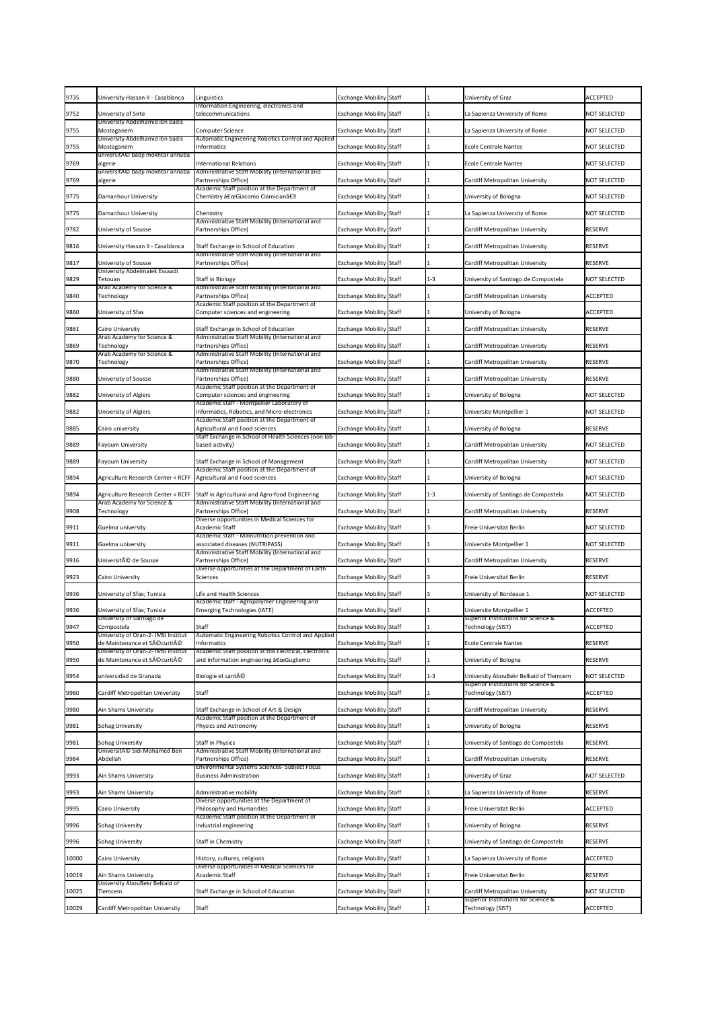| 9735         | University Hassan II - Casablanca                                               | Linguistics<br>Information Engineering, electronics and                                            | <b>Exchange Mobility Staff</b>                                   |         | University of Graz                                                     | <b>ACCEPTED</b>                   |
|--------------|---------------------------------------------------------------------------------|----------------------------------------------------------------------------------------------------|------------------------------------------------------------------|---------|------------------------------------------------------------------------|-----------------------------------|
| 9752         | University of Sirte<br>University Abdelhamid ibn badis                          | telecommunications                                                                                 | <b>Exchange Mobility Staff</b>                                   |         | La Sapienza University of Rome                                         | <b>NOT SELECTED</b>               |
| 9755         | Mostaganem<br>University Abdelhamid ibn badis                                   | <b>Computer Science</b>                                                                            | <b>Exchange Mobility Staff</b>                                   |         | La Sapienza University of Rome                                         | <b>NOT SELECTED</b>               |
| 9755         | Mostaganem                                                                      | Automatic Engineering Robotics Control and Applied<br>Informatics                                  | <b>Exchange Mobility Staff</b>                                   |         | <b>Ecole Centrale Nantes</b>                                           | <b>NOT SELECTED</b>               |
| 9769         | universitAC badji mokhtar annaba<br>algerie<br>universitAC badji mokhtar annaba | <b>International Relations</b><br>Administrative Staff Mobility (International and                 | Exchange Mobility Staff                                          |         | <b>Ecole Centrale Nantes</b>                                           | <b>NOT SELECTED</b>               |
| 9769         | algerie                                                                         | Partnerships Office)                                                                               | <b>Exchange Mobility Staff</b>                                   |         | Cardiff Metropolitan University                                        | <b>NOT SELECTED</b>               |
| 9775         | Damanhour University                                                            | Academic Staff position at the Department of<br>Chemistry "Giacomo Ciamicianâ€.                    | <b>Exchange Mobility Staff</b>                                   |         | University of Bologna                                                  | <b>NOT SELECTED</b>               |
| 9775         | Damanhour University                                                            | Chemistry                                                                                          | <b>Exchange Mobility Staff</b>                                   |         | La Sapienza University of Rome                                         | <b>NOT SELECTED</b>               |
| 9782         | <b>University of Sousse</b>                                                     | Administrative Staff Mobility (International and<br>Partnerships Office)                           | <b>Exchange Mobility Staff</b>                                   |         | Cardiff Metropolitan University                                        | <b>RESERVE</b>                    |
| 9816         | University Hassan II - Casablanca                                               | Staff Exchange in School of Education                                                              | <b>Exchange Mobility Staff</b>                                   |         | Cardiff Metropolitan University                                        | <b>RESERVE</b>                    |
| 9817         | <b>University of Sousse</b>                                                     | Administrative Staff Mobility (International and<br>Partnerships Office)                           | <b>Exchange Mobility Staff</b>                                   |         | Cardiff Metropolitan University                                        | <b>RESERVE</b>                    |
| 9829         | University Abdelmalek Essaadi<br>Tetouan                                        | <b>Staff in Biology</b>                                                                            | <b>Exchange Mobility Staff</b>                                   | $1 - 3$ | University of Santiago de Compostela                                   | <b>NOT SELECTED</b>               |
| 9840         | Arab Academy for Science &<br>Technology                                        | Administrative Staff Mobility (International and<br>Partnerships Office)                           | <b>Exchange Mobility Staff</b>                                   |         | Cardiff Metropolitan University                                        | <b>ACCEPTED</b>                   |
| 9860         | University of Sfax                                                              | Academic Staff position at the Department of<br>Computer sciences and engineering                  | <b>Exchange Mobility Staff</b>                                   |         | University of Bologna                                                  | <b>ACCEPTED</b>                   |
| 9861         | <b>Cairo University</b>                                                         | Staff Exchange in School of Education                                                              | <b>Exchange Mobility Staff</b>                                   |         | Cardiff Metropolitan University                                        | <b>RESERVE</b>                    |
| 9869         | Arab Academy for Science &<br>Technology                                        | Administrative Staff Mobility (International and<br>Partnerships Office)                           | <b>Exchange Mobility Staff</b>                                   |         | <b>Cardiff Metropolitan University</b>                                 | <b>RESERVE</b>                    |
| 9870         | Arab Academy for Science &<br>Technology                                        | Administrative Staff Mobility (International and<br>Partnerships Office)                           | <b>Exchange Mobility Staff</b>                                   |         | Cardiff Metropolitan University                                        | <b>RESERVE</b>                    |
| 9880         | <b>University of Sousse</b>                                                     | Administrative Staff Mobility (International and<br>Partnerships Office)                           | <b>Exchange Mobility Staff</b>                                   |         | Cardiff Metropolitan University                                        | <b>RESERVE</b>                    |
| 9882         | University of Algiers                                                           | Academic Staff position at the Department of<br>Computer sciences and engineering                  | <b>Exchange Mobility Staff</b>                                   |         | University of Bologna                                                  | <b>NOT SELECTED</b>               |
| 9882         | University of Algiers                                                           | Academic staff - Montpellier Laboratory of<br>Informatics, Robotics, and Micro-electronics         | <b>Exchange Mobility Staff</b>                                   |         | Universite Montpellier 1                                               | <b>NOT SELECTED</b>               |
| 9885         | Cairo university                                                                | Academic Staff position at the Department of<br>Agricultural and Food sciences                     | <b>Exchange Mobility Staff</b>                                   |         | University of Bologna                                                  | <b>RESERVE</b>                    |
| 9889         | <b>Fayoum University</b>                                                        | Staff Exchange in School of Health Sciences (non lab-<br>based activity)                           | <b>Exchange Mobility Staff</b>                                   |         | Cardiff Metropolitan University                                        | <b>NOT SELECTED</b>               |
| 9889         | <b>Fayoum University</b>                                                        | Staff Exchange in School of Management                                                             | <b>Exchange Mobility Staff</b>                                   |         | Cardiff Metropolitan University                                        | <b>NOT SELECTED</b>               |
| 9894         | <b>Agriculture Research Center &lt; RCFF</b>                                    | Academic Staff position at the Department of<br>Agricultural and Food sciences                     | <b>Exchange Mobility Staff</b>                                   |         | University of Bologna                                                  | <b>NOT SELECTED</b>               |
| 9894         | <b>Agriculture Research Center &lt; RCFF</b>                                    | Staff in Agricultural and Agro-food Engineering                                                    | <b>Exchange Mobility Staff</b>                                   | $1 - 3$ | University of Santiago de Compostela                                   | <b>NOT SELECTED</b>               |
| 9908         | Arab Academy for Science &<br>Technology                                        | Administrative Staff Mobility (International and<br>Partnerships Office)                           | <b>Exchange Mobility Staff</b>                                   |         | Cardiff Metropolitan University                                        | <b>RESERVE</b>                    |
| 9911         | Guelma university                                                               | Diverse opportunities in Medical Sciences for<br>Academic Staff                                    | <b>Exchange Mobility Staff</b>                                   |         | Freie Universitat Berlin                                               | <b>NOT SELECTED</b>               |
| 9911         | Guelma university                                                               | Academic staff - Malnutrition prevention and<br>associated diseases (NUTRIPASS)                    | Exchange Mobility Staff                                          |         | Universite Montpellier 1                                               | <b>NOT SELECTED</b>               |
| 9916         | Université de Sousse                                                            | Administrative Staff Mobility (International and<br>Partnerships Office)                           | <b>Exchange Mobility Staff</b>                                   |         | Cardiff Metropolitan University                                        | <b>RESERVE</b>                    |
| 9923         | <b>Cairo University</b>                                                         | Diverse opportunities at the Department of Earth<br>Sciences                                       | <b>Exchange Mobility Staff</b>                                   |         | Freie Universitat Berlin                                               | <b>RESERVE</b>                    |
| 9936         | University of Sfax; Tunisia                                                     | Life and Health Sciences                                                                           | <b>Exchange Mobility Staff</b>                                   |         | University of Bordeaux 1                                               | <b>NOT SELECTED</b>               |
| 9936         | University of Sfax; Tunisia                                                     | Academic staff - Agropolymer Engineering and<br><b>Emerging Technologies (IATE)</b>                | <b>Exchange Mobility Staff</b>                                   |         | Universite Montpellier 1                                               | <b>ACCEPTED</b>                   |
| 9947         | University of Santiago de<br>Compostela                                         | <b>Staff</b>                                                                                       | <b>Exchange Mobility Staff</b>                                   |         | Superior Institutions for Science &<br>Technology (SIST)               | <b>ACCEPTED</b>                   |
| 9950         | University of Oran-2- IMSI Institut<br>de Maintenance et Sécurité               | Automatic Engineering Robotics Control and Applied<br>Informatics                                  | <b>Exchange Mobility Staff</b>                                   |         | <b>Ecole Centrale Nantes</b>                                           | <b>RESERVE</b>                    |
| 9950         | University of Oran-2- IMSI Institut<br>de Maintenance et Sécurité               | Academic Staff position at the Electrical, Electronis<br>and Information engineering "Gugliemo     | <b>Exchange Mobility Staff</b>                                   |         | University of Bologna                                                  | <b>RESERVE</b>                    |
| 9954         | universidad de Granada                                                          | Biologie et santé                                                                                  | Exchange Mobility Staff                                          | $1 - 3$ | University AbouBekr Belkaid of Tlemcem                                 | <b>NOT SELECTED</b>               |
| 9960         | <b>Cardiff Metropolitan University</b>                                          | <b>Staff</b>                                                                                       | <b>Exchange Mobility Staff</b>                                   |         | Superior Institutions for Science &<br>Technology (SIST)               | <b>ACCEPTED</b>                   |
| 9980         | Ain Shams University                                                            | Staff Exchange in School of Art & Design                                                           | <b>Exchange Mobility Staff</b>                                   |         | Cardiff Metropolitan University                                        | <b>RESERVE</b>                    |
| 9981         | <b>Sohag University</b>                                                         | Academic Staff position at the Department of<br>Physics and Astronomy                              | <b>Exchange Mobility Staff</b>                                   |         | University of Bologna                                                  | <b>RESERVE</b>                    |
| 9981         | <b>Sohag University</b>                                                         | <b>Staff in Physics</b>                                                                            | <b>Exchange Mobility Staff</b>                                   |         | University of Santiago de Compostela                                   | <b>RESERVE</b>                    |
| 9984         | UniversitA© Sidi Mohamed Ben<br>Abdellah                                        | Administrative Staff Mobility (International and<br>Partnerships Office)                           | <b>Exchange Mobility Staff</b>                                   |         | Cardiff Metropolitan University                                        | <b>RESERVE</b>                    |
| 9993         | Ain Shams University                                                            | Environmental Systems Sciences- Subject Focus<br><b>Business Administration</b>                    | <b>Exchange Mobility Staff</b>                                   |         | University of Graz                                                     | <b>NOT SELECTED</b>               |
|              |                                                                                 |                                                                                                    |                                                                  |         |                                                                        |                                   |
| 9993<br>9995 | Ain Shams University<br>Cairo University                                        | Administrative mobility<br>Diverse opportunities at the Department of<br>Philosophy and Humanities | <b>Exchange Mobility Staff</b><br><b>Exchange Mobility Staff</b> |         | La Sapienza University of Rome<br>Freie Universitat Berlin             | <b>RESERVE</b><br><b>ACCEPTED</b> |
|              |                                                                                 | Academic Staff position at the Department of                                                       |                                                                  |         |                                                                        |                                   |
| 9996         | Sohag University                                                                | Industrial engineering                                                                             | <b>Exchange Mobility Staff</b>                                   |         | University of Bologna                                                  | <b>RESERVE</b>                    |
| 9996         | <b>Sohag University</b>                                                         | Staff in Chemistry                                                                                 | <b>Exchange Mobility Staff</b>                                   |         | University of Santiago de Compostela                                   | <b>RESERVE</b>                    |
| 10000        | Cairo University                                                                | History, cultures, religions<br>Diverse opportunities in Medical Sciences for                      | <b>Exchange Mobility Staff</b>                                   |         | La Sapienza University of Rome                                         | <b>ACCEPTED</b>                   |
| 10019        | <b>Ain Shams University</b><br>University AbouBekr Belkaid of                   | <b>Academic Staff</b>                                                                              | <b>Exchange Mobility Staff</b>                                   |         | Freie Universitat Berlin                                               | <b>RESERVE</b>                    |
| 10025        | Tlemcem                                                                         | Staff Exchange in School of Education                                                              | <b>Exchange Mobility Staff</b>                                   |         | Cardiff Metropolitan University<br>Superior Institutions for Science & | <b>NOT SELECTED</b>               |
| 10029        | Cardiff Metropolitan University                                                 | <b>Staff</b>                                                                                       | <b>Exchange Mobility Staff</b>                                   |         | Technology (SIST)                                                      | <b>ACCEPTED</b>                   |